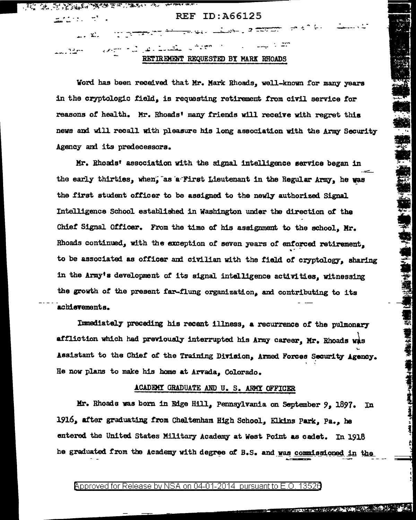ALLE A STEAM CONTRACTOR TO AN CARACTER AND CONTRACTOR

 $\mathbb{R}^n$  .

 $\frac{1}{\sqrt{2}}$  ,  $\frac{1}{\sqrt{2}}$  ,  $\frac{1}{\sqrt{2}}$  ,  $\frac{1}{\sqrt{2}}$  ,  $\frac{1}{\sqrt{2}}$ 

## **REF ID: A66125**

terang international contents and contents of the contents of the contents of the contents of the contents of

er film i standarde for a  $\sim 100$ للقبيب القاران موافر <del>ب</del>ر<br>المسارات بسیط RETIREMENT REQUESTED BY MARK RHOADS

Word has been received that Mr. Mark Rhoads, well-known for many years in the cryptologic field, is requesting retirement from civil service for reasons of health. Mr. Rhoads' many friends will receive with regret this news and will recall with pleasure his long association with the Army Security Agency and its predecessors.

Mr. Rhoads' association with the signal intelligence service began in the early thirties, when, as a First Lieutenant in the Regular Army, he was the first student officer to be assigned to the newly authorized Signal Intelligence School established in Washington under the direction of the Chief Signal Officer. From the time of his assignment to the school, Mr. Rhoads continued, with the exception of seven years of enforced retirement. to be associated as officer and civilian with the field of cryptology, sharing in the Army's development of its signal intelligence activities, witnessing the growth of the present far-flung organization, and contributing to its achievements.

Immediately preceding his recent illness, a recurrence of the pulmonary affliction which had previously interrupted his Army career, Mr. Rhoads was Assistant to the Chief of the Training Division, Armed Forces Security Agency. He now plans to make his home at Arvada, Colorado.

## ACADEMY GRADUATE AND U. S. ARMY OFFICER

Mr. Rhoads was born in Edge Hill, Pennsylvania on September 9, 1897. In 1916, after graduating from Chaltenham High School, Elkins Park, Pa., he entered the United States Military Academy at West Point as cadet. In 1918 he graduated from the Academy with degree of B.S. and was commissioned in the

## Approved for Release by NSA on 04-01-2014 pursuant to E.O. 13520

柔颤,道

计算符号 经基本

**医学 医生物学 医生物学** 

医生物质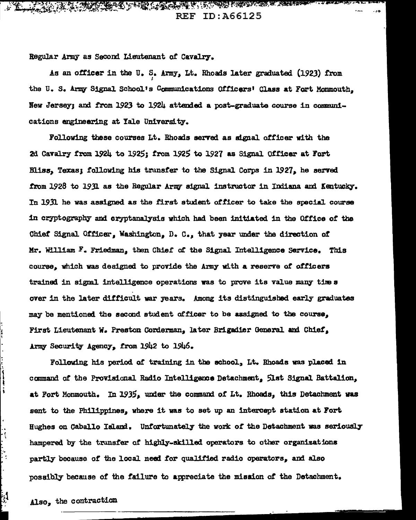ARTICAL COMPANY AND THE COMPANY OF THE COMPANY OF THE COMPANY OF THE COMPANY OF THE COMPANY OF THE COMPANY OF  $\sim$   $\sim$  and  $\sim$ **REF ID: A66125** 

Regular Army as Second Lieutenant of Cavalry.

As an officer in the U.S. Army, Lt. Rhoads later graduated (1923) from the U.S. Army Signal School's Communications Officers' Class at Fort Monmouth, New Jersey; and from 1923 to 1924 attended a post-graduate course in communications engineering at Yale University.

Following these courses Lt. Rhoads served as signal officer with the 2d Cavalry from 1924 to 1925; from 1925 to 1927 as Signal Officer at Fort Bliss, Texas; following his transfer to the Signal Corps in 1927, he served from 1928 to 1931 as the Regular Army signal instructor in Indiana and Kentucky. In 1931 he was assigned as the first student officer to take the special course in cryptography and cryptanalysis which had been initiated in the Office of the Chief Signal Officer, Washington, D. C., that year under the direction of Mr. William F. Friedman, then Chief of the Signal Intelligence Service. This course, which was designed to provide the Army with a reserve of officers trained in signal intelligence operations was to prove its value many times over in the later difficult war years. Among its distinguished early graduates may be mentioned the second student officer to be assigned to the course. First Lieutenant W. Preston Corderman, later Brigadier General and Chief, Army Security Agency, from 1942 to 1946.

Following his period of training in the school, Lt. Rhoads was placed in command of the Provisional Radio Intelligence Detachment, Slst Signal Battalion, at Fort Monmouth. In 1935, under the command of Lt. Rhoads, this Detachment was sent to the Philippines, where it was to set up an intercept station at Fort Hughes on Caballo Island. Unfortunately the work of the Detachment was seriously hampered by the transfer of highly-skilled operators to other organizations partly because of the local need for qualified radio operators, and also possibly because of the failure to appreciate the mission of the Detachment.

Also, the contraction

ו<br>וייד

į

Ņ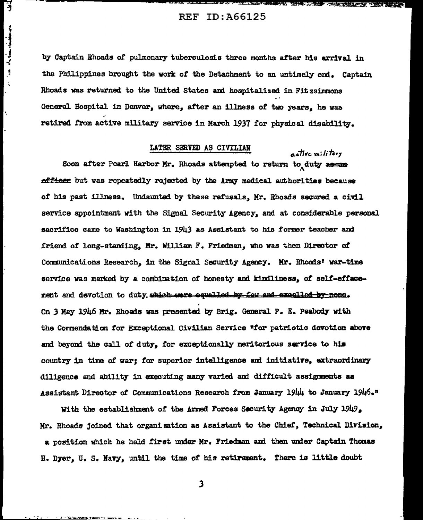्रो

 $\frac{1}{2}$ 

 $\ddot{\phantom{1}}$ 

Ñ

医阿斯特氏试验检尿道 医第三指肠 医脊髓内的 医骨髓性的

active military

by Captain Rhoads of pulmonary tuberculosis three months after his arrival in the Philippines brought the work of the Detachment to an untimaly end. Captain Rhoads was returned to the United States and hospitalized in Fitzsimmons General Hospital in Denver, where, after an illness of two years, he was retired from active military service in March 1937 for physical disability.

## LATER SERVED AS CIVILIAN

Soon after Pearl Harbor Mr. Rhoads attempted to return to duty as an officer but was repeatedly rejected by the Army medical authorities because of his past illness. Undaunted by these refusals, Mr. Rhoads secured a civil service appointment with the Signal Security Agency, and at considerable personal sacrifice came to Washington in 1943 as Assistant to his former teacher and friend of long-standing, Mr. William F. Friedman, who was then Director of Communications Research, in the Signal Security Agency. Mr. Rhoads' war-time service was marked by a combination of honesty and kindliness, of self-effacement and devotion to duty which were equalled by four and excelled by none. On 3 May 1946 Mr. Rhoads was presented by Brig. General P. E. Peabody with the Commendation for Exceptional Civilian Service "for patriotic devotion above and beyond the call of duty, for exceptionally meritorious service to his country in time of war; for superior intelligence and initiative, extraordinary diligence and ability in executing many varied and difficult assignments as Assistant Director of Communications Research from January 1944 to January 1946."

With the establishment of the Armed Forces Security Agency in July 1949, Mr. Rhoads joined that organization as Assistant to the Chief, Technical Division, a position which he held first under Mr. Friedman and then under Captain Thomas H. Dyer, U. S. Navy, until the time of his retirement. There is little doubt

 $\mathbf{3}$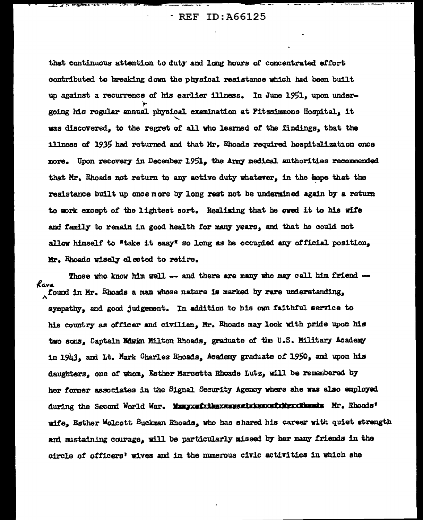- REF ID:A66125

... \_.,.., ... • - - .. • - • \_\_\_ .\_\_ '- ---· I ., -- •

that continuous attention to duty and long hours of concentrated effort contributed to breaking down the physical. res1stance vhich had been built up against a recurrence of his earlier illness. In June 1951, upon under-.!'" going his regular annual physical examination at Fitzsimmons Hospital, it was discoversd,, *to* the regret *ot* all vho 1earned of the findings., that the 111ness of 1935 had returned and that Mr. Rhoads required hospitalization once more. Upon recovery in December 1951, the Army medical authorities recommended that Mr. Rhoads not return to any active duty whatever. in the hope that the resistance built up once more by long rest not be undermined again by a return to work except of the lightest sort. Realising that he owed it to his wife and family to remain in good health for many years, and that he could not allow himself to "take it easy" so long as he occupied any official position, Mr. Rhoads wisely elected to retire.

Those who know him well -- and there are many who may call him friend -*l.G.v&*   $\lambda$  found in Mr. Rhoads a man whose nature is marked by rare understanding, sympathy, and good judgement. In addition to his own faithful service to his country as officer and civilian, Mr. Rhoads may look with pride upon his two sons, Captain Edwin Milton Rhoads, graduate of the U.S. Military Academy 1n 1943, am Lt. Mark Charles Rhoads1 Academy graduate o.t' *l.950.* am upon his daughters, one of whom. Esther Marcetta Rhoads Lutz, will be remembered by her former associates in the Signal Security Agency where she was also amployed during the Second World War. Mampxwfxthexxxxxxxxxxxxxxfxidexcdbessdx Mr. Rhoads' wife, Esther Wolcott Buckman Rhoads, who has shared his career with quiet strength and sustaining courage, will be particularly missed by her many friends in the circle of officers' wives and in the numerous civic activities in which she